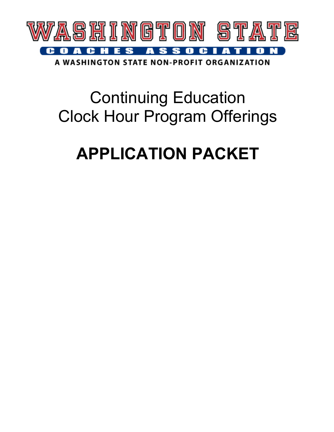

A WASHINGTON STATE NON-PROFIT ORGANIZATION

## Continuing Education Clock Hour Program Offerings

# **APPLICATION PACKET**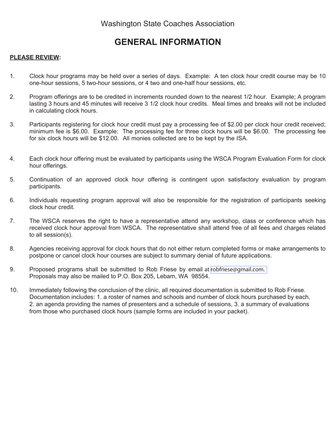### **GENERAL INFORMATION**

#### **PLEASE REVIEW:**

- 1. Clock hour programs may be held over a series of days. Example: A ten clock hour credit course may be 10 one-hour sessions, 5 two-hour sessions, or 4 two and one-half hour sessions, etc.
- 2. Program offerings are to be credited in increments rounded down to the nearest 1/2 hour. Example; A program lasting 3 hours and 45 minutes will receive 3 1/2 clock hour credits. Meal times and breaks will not be included in calculating clock hours.
- 3. Participants registering for clock hour credit must pay a processing fee of \$2.00 per clock hour credit received; minimum fee is \$6.00. Example: The processing fee for three clock hours will be \$6.00. The processing fee for six clock hours will be \$12.00. All monies collected are to be kept by the ISA.
- 4. Each clock hour offering must be evaluated by participants using the WSCA Program Evaluation Form for clock hour offerings.
- 5. Continuation of an approved clock hour offering is contingent upon satisfactory evaluation by program participants.
- 6. Individuals requesting program approval will also be responsible for the registration of participants seeking clock hour credit.
- 7. The WSCA reserves the right to have a representative attend any workshop, class or conference which has received clock hour approval from WSCA. The representative shall attend free of all fees and charges related to all session(s).
- 8. Agencies receiving approval for clock hours that do not either return completed forms or make arrangements to postpone or cancel clock hour courses are subject to summary denial of future applications.
- 9. Proposed programs shall be submitted to Rob Friese by email at [robfriese@gmail.com.](mailto:robfriese@gmail.com) Proposals may also be mailed to P.O. Box 205, Lebam, WA 98554.
- 10. Immediately following the conclusion of the clinic, all required documentation is submitted to Rob Friese. Documentation includes: 1. a roster of names and schools and number of clock hours purchased by each, 2. an agenda providing the names of presenters and a schedule of sessions, 3. a summary of evaluations from those who purchased clock hours (sample forms are included in your packet).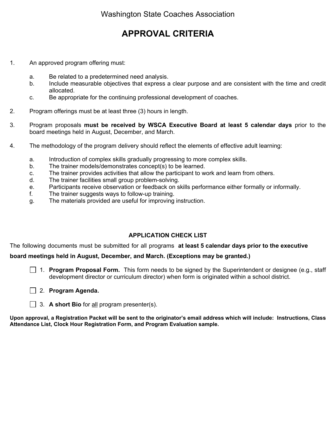## **APPROVAL CRITERIA**

- 1. An approved program offering must:
	- a. Be related to a predetermined need analysis.
	- b. Include measurable objectives that express a clear purpose and are consistent with the time and credit allocated.
	- c. Be appropriate for the continuing professional development of coaches.
- 2. Program offerings must be at least three (3) hours in length.
- 3. Program proposals **must be received by WSCA Executive Board at least 5 calendar days** prior to the board meetings held in August, December, and March.
- 4. The methodology of the program delivery should reflect the elements of effective adult learning:
	- a. Introduction of complex skills gradually progressing to more complex skills.
	- b. The trainer models/demonstrates concept(s) to be learned.
	- c. The trainer provides activities that allow the participant to work and learn from others.
	- d. The trainer facilities small group problem-solving.
	- e. Participants receive observation or feedback on skills performance either formally or informally.
	- f. The trainer suggests ways to follow-up training.
	- g. The materials provided are useful for improving instruction.

#### **APPLICATION CHECK LIST**

The following documents must be submitted for all programs **at least 5 calendar days prior to the executive** 

#### **board meetings held in August, December, and March. (Exceptions may be granted.)**

- 1. **Program Proposal Form.** This form needs to be signed by the Superintendent or designee (e.g., staff development director or curriculum director) when form is originated within a school district.
- 2. **Program Agenda.**
- 3. **A short Bio** for all program presenter(s).

**Upon approval, a Registration Packet will be sent to the originator's email address which will include: Instructions, Class Attendance List, Clock Hour Registration Form, and Program Evaluation sample.**